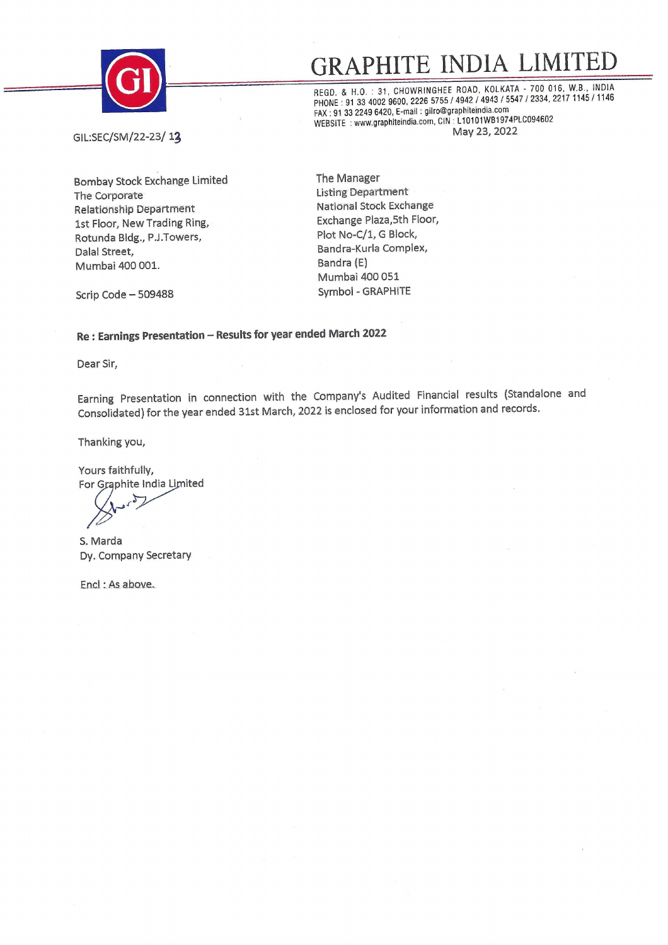

### <u>GRAPHITE INDIA LIMI'</u> **GRAPHITE INDIA LIMITED**<br>REGD. & H.O. : 31, CHOWRINGHEE ROAD, KOLKATA - 700 016, W.B., INDIA<br>PHONE : 91 33 4002 9600, 2226 5755 / 4942 / 4943 / 5547 / 2334, 2217 1145 / 1146

FAX: 91 33 2249 6420, E-mail: gilro@graphiteindia.com WEBSITE : www.graphiteindia.com, CIN · L10101WB1974PLC094602

GIL:SEC/SM/22-23/ 13

Bombay Stock Exchange Limited The Corporate Relationship Department 1st Floor, New Trading Ring, Rotunda Bldg., P.J.Towers, Dalal Street, Mumbai 400 001.

The Manager Listing Department National Stock Exchange Exchange Plaza,Sth Floor, Plot No-C/1, G Block, Bandra-Kurla Complex, Bandra (E) Mumbai 400 051 Symbol - GRAPHITE

Scrip Code - 509488

#### **Re : Earnings Presentation - Results for year ended March 2022**

Dear Sir,

Earning Presentation in connection with the Company's Audited Financial results (Standalone and Consolidated) for the year ended 31st March, 2022 is enclosed for your information and records.

Thanking you,

Yours faithfully,<br>For Graphite India Limited

S. Marda Dy. Company Secretary

Encl : As above.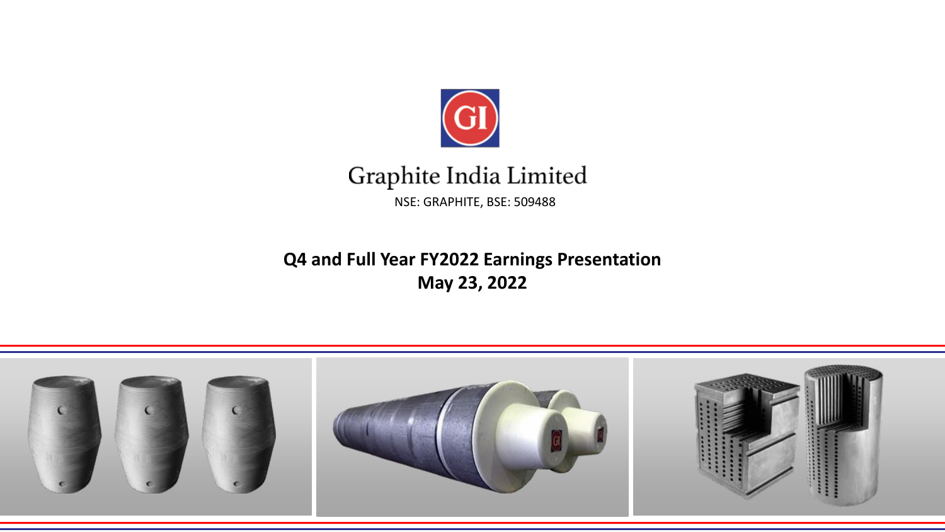

### Graphite India Limited NSE: GRAPHITE, BSE: 509488

### **Q4 and Full Year FY2022 Earnings Presentation May 23, 2022**

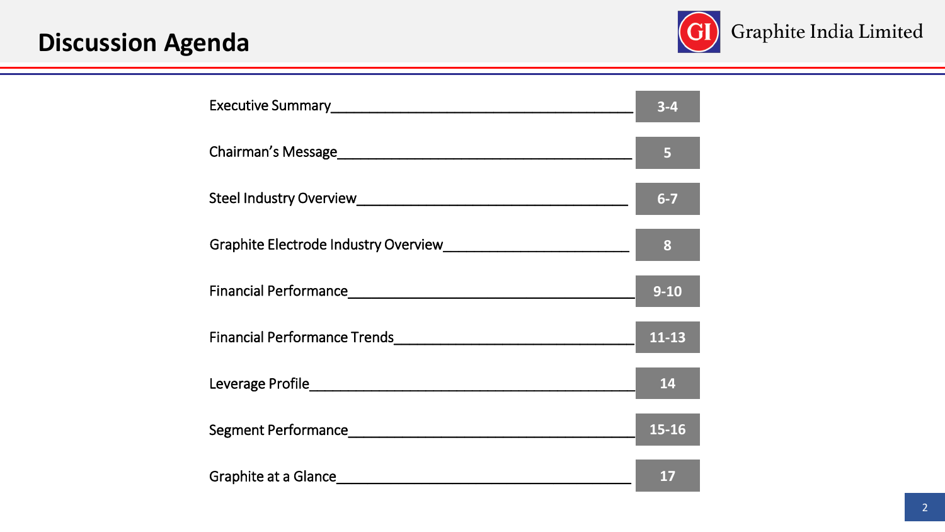# **Discussion Agenda**



|                                                                                                                                                                                                                                | $3 - 4$   |
|--------------------------------------------------------------------------------------------------------------------------------------------------------------------------------------------------------------------------------|-----------|
|                                                                                                                                                                                                                                | 5         |
|                                                                                                                                                                                                                                | $6-7$     |
|                                                                                                                                                                                                                                | 8         |
|                                                                                                                                                                                                                                | $9 - 10$  |
|                                                                                                                                                                                                                                | $11 - 13$ |
|                                                                                                                                                                                                                                | 14        |
| Segment Performance and the control of the control of the control of the control of the control of the control of the control of the control of the control of the control of the control of the control of the control of the | 15-16     |
|                                                                                                                                                                                                                                | 17        |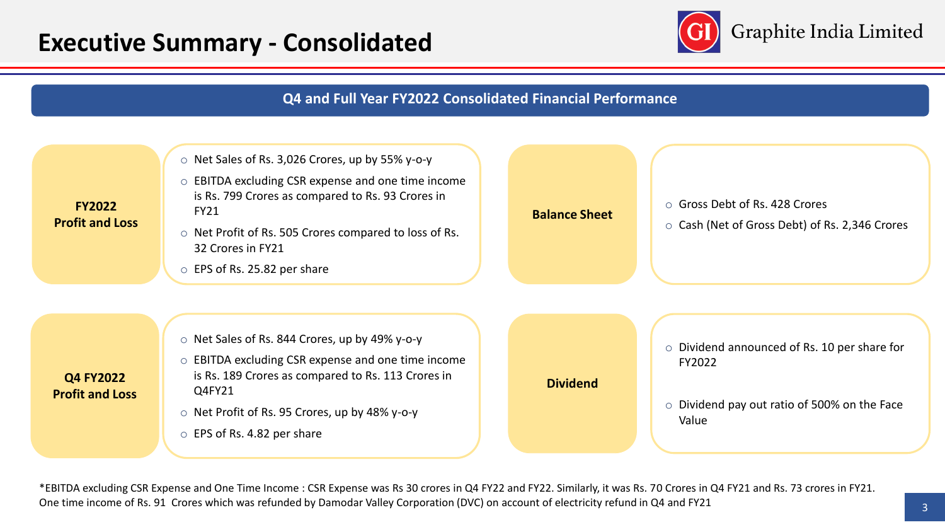### **Executive Summary - Consolidated**



#### **Q4 and Full Year FY2022 Consolidated Financial Performance**



\*EBITDA excluding CSR Expense and One Time Income : CSR Expense was Rs 30 crores in Q4 FY22 and FY22. Similarly, it was Rs. 70 Crores in Q4 FY21 and Rs. 73 crores in FY21. One time income of Rs. 91 Crores which was refunded by Damodar Valley Corporation (DVC) on account of electricity refund in Q4 and FY21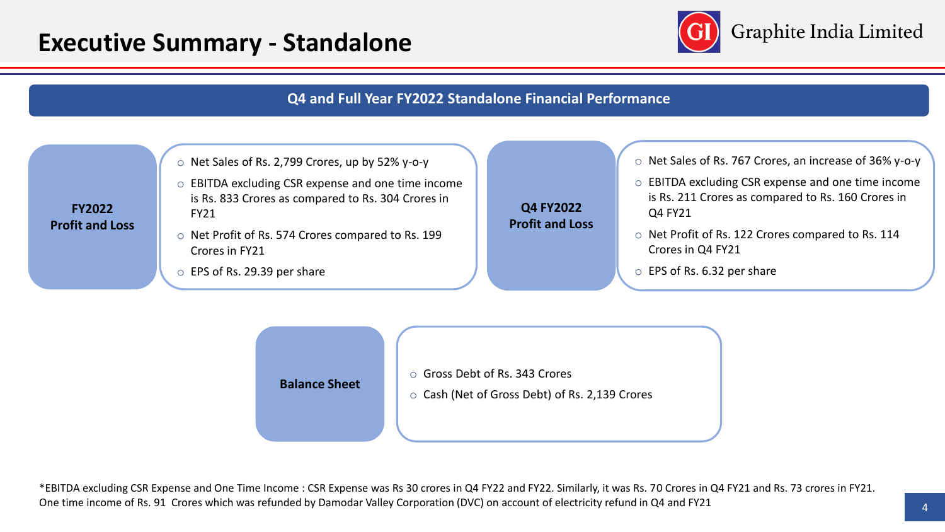### **Executive Summary - Standalone**



#### **Q4 and Full Year FY2022 Standalone Financial Performance**





\*EBITDA excluding CSR Expense and One Time Income : CSR Expense was Rs 30 crores in Q4 FY22 and FY22. Similarly, it was Rs. 70 Crores in Q4 FY21 and Rs. 73 crores in FY21. One time income of Rs. 91 Crores which was refunded by Damodar Valley Corporation (DVC) on account of electricity refund in Q4 and FY21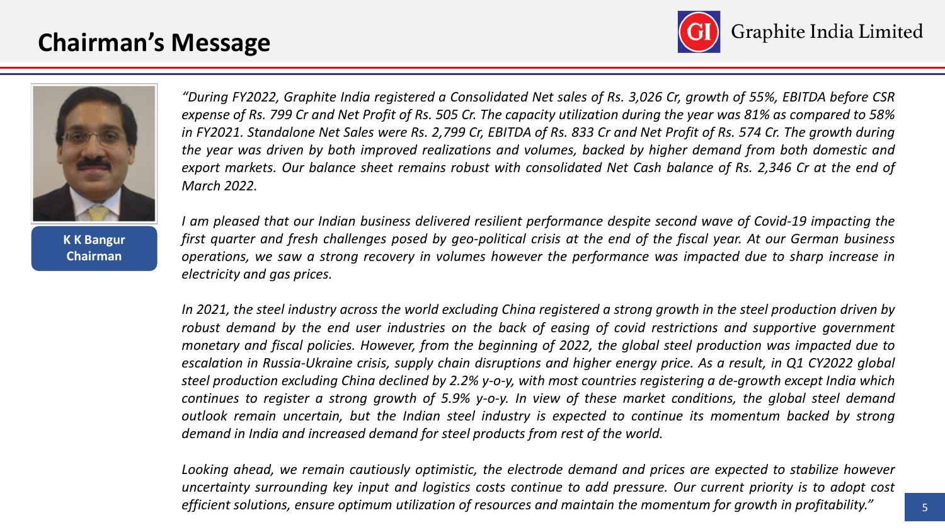## **Chairman's Message**





**K K Bangur Chairman**

"During FY2022, Graphite India registered a Consolidated Net sales of Rs. 3,026 Cr, growth of 55%, EBITDA before CSR expense of Rs. 799 Cr and Net Profit of Rs. 505 Cr. The capacity utilization during the year was 81% as compared to 58% in FY2021. Standalone Net Sales were Rs. 2,799 Cr, EBITDA of Rs. 833 Cr and Net Profit of Rs. 574 Cr. The growth during the year was driven by both improved realizations and volumes, backed by higher demand from both domestic and export markets. Our balance sheet remains robust with consolidated Net Cash balance of Rs. 2,346 Cr at the end of *March 2022.*

I am pleased that our Indian business delivered resilient performance despite second wave of Covid-19 impacting the first quarter and fresh challenges posed by geo-political crisis at the end of the fiscal year. At our German business operations, we saw a strong recovery in volumes however the performance was impacted due to sharp increase in *electricity and gas prices.*

In 2021, the steel industry across the world excluding China registered a strong growth in the steel production driven by robust demand by the end user industries on the back of easing of covid restrictions and supportive government monetary and fiscal policies. However, from the beginning of 2022, the global steel production was impacted due to escalation in Russia-Ukraine crisis, supply chain disruptions and higher energy price. As a result, in Q1 CY2022 global steel production excluding China declined by 2.2% y-o-y, with most countries registering a de-growth except India which continues to register a strong growth of 5.9% y-o-y. In view of these market conditions, the global steel demand outlook remain uncertain, but the Indian steel industry is expected to continue its momentum backed by strong *demand in India and increased demand for steel products from rest of the world.*

Looking ahead, we remain cautiously optimistic, the electrode demand and prices are expected to stabilize however uncertainty surrounding key input and logistics costs continue to add pressure. Our current priority is to adopt cost efficient solutions, ensure optimum utilization of resources and maintain the momentum for growth in profitability."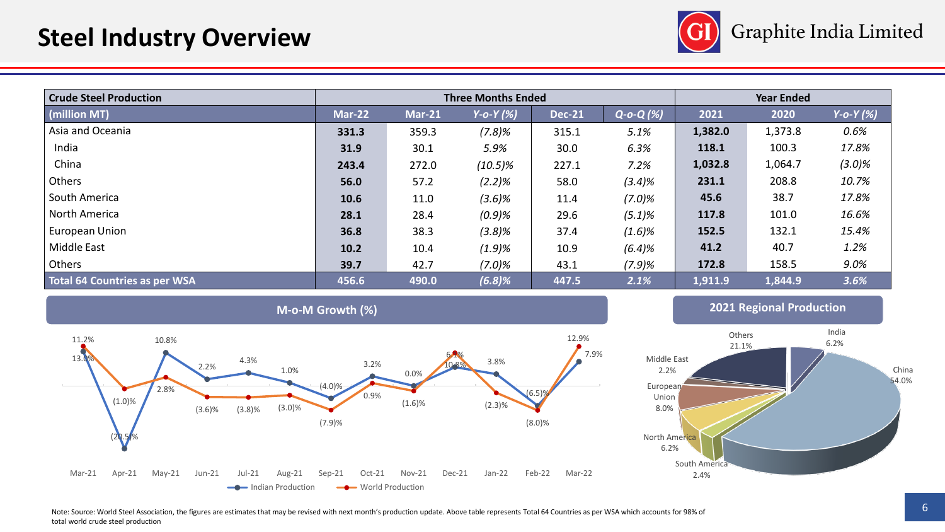

| <b>Crude Steel Production</b> |               |          | <b>Three Months Ended</b> |               | <b>Year Ended</b>  |         |         |            |
|-------------------------------|---------------|----------|---------------------------|---------------|--------------------|---------|---------|------------|
| (million MT)                  | <b>Mar-22</b> | $Mar-21$ | $Y-O-Y(X)$                | <b>Dec-21</b> | $Q$ -o- $Q$ $(\%)$ | 2021    | 2020    | $Y-O-Y(X)$ |
| Asia and Oceania              | 331.3         | 359.3    | (7.8)%                    | 315.1         | 5.1%               | 1,382.0 | 1,373.8 | 0.6%       |
| India                         | 31.9          | 30.1     | 5.9%                      | 30.0          | 6.3%               | 118.1   | 100.3   | 17.8%      |
| China                         | 243.4         | 272.0    | $(10.5)\%$                | 227.1         | 7.2%               | 1,032.8 | 1,064.7 | $(3.0)\%$  |
| Others                        | 56.0          | 57.2     | $(2.2)\%$                 | 58.0          | (3.4)%             | 231.1   | 208.8   | 10.7%      |
| South America                 | 10.6          | 11.0     | $(3.6)\%$                 | 11.4          | $(7.0)\%$          | 45.6    | 38.7    | 17.8%      |
| North America                 | 28.1          | 28.4     | (0.9)%                    | 29.6          | $(5.1)\%$          | 117.8   | 101.0   | 16.6%      |
| European Union                | 36.8          | 38.3     | (3.8)%                    | 37.4          | (1.6)%             | 152.5   | 132.1   | 15.4%      |
| Middle East                   | 10.2          | 10.4     | (1.9)%                    | 10.9          | (6.4)%             | 41.2    | 40.7    | 1.2%       |
| Others                        | 39.7          | 42.7     | $(7.0)\%$                 | 43.1          | (7.9)%             | 172.8   | 158.5   | $9.0\%$    |
| Total 64 Countries as per WSA | 456.6         | 490.0    | (6.8)%                    | 447.5         | 2.1%               | 1,911.9 | 1,844.9 | 3.6%       |





Note: Source: World Steel Association, the figures are estimates that may be revised with next month's production update. Above table represents Total 64 Countries as per WSA which accounts for 98% of total world crude steel production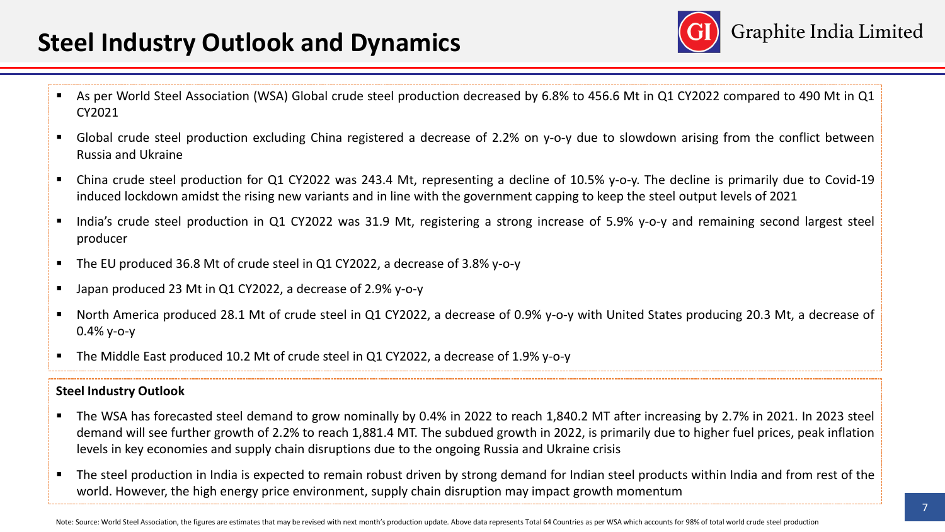## **Steel Industry Outlook and Dynamics**



- As per World Steel Association (WSA) Global crude steel production decreased by 6.8% to 456.6 Mt in Q1 CY2022 compared to 490 Mt in Q1 CY2021
- Global crude steel production excluding China registered a decrease of 2.2% on y-o-y due to slowdown arising from the conflict between Russia and Ukraine
- China crude steel production for Q1 CY2022 was 243.4 Mt, representing a decline of 10.5% y-o-y. The decline is primarily due to Covid-19 induced lockdown amidst the rising new variants and in line with the government capping to keep the steel output levels of 2021
- India's crude steel production in Q1 CY2022 was 31.9 Mt, registering a strong increase of 5.9% v-o-y and remaining second largest steel producer
- The EU produced 36.8 Mt of crude steel in Q1 CY2022, a decrease of 3.8% y-o-y
- Japan produced 23 Mt in Q1 CY2022, a decrease of 2.9% y-o-y
- North America produced 28.1 Mt of crude steel in Q1 CY2022, a decrease of 0.9% y-o-y with United States producing 20.3 Mt, a decrease of 0.4% y-o-y
- The Middle East produced 10.2 Mt of crude steel in Q1 CY2022, a decrease of 1.9% y-o-y

#### **Steel Industry Outlook**

- The WSA has forecasted steel demand to grow nominally by 0.4% in 2022 to reach 1,840.2 MT after increasing by 2.7% in 2021. In 2023 steel demand will see further growth of 2.2% to reach 1,881.4 MT. The subdued growth in 2022, is primarily due to higher fuel prices, peak inflation levels in key economies and supply chain disruptions due to the ongoing Russia and Ukraine crisis
- The steel production in India is expected to remain robust driven by strong demand for Indian steel products within India and from rest of the world. However, the high energy price environment, supply chain disruption may impact growth momentum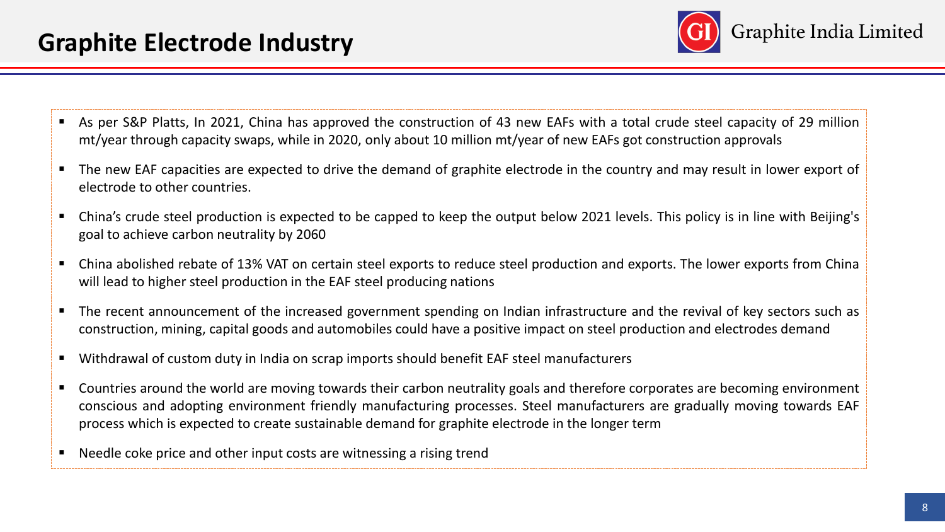

- As per S&P Platts, In 2021, China has approved the construction of 43 new EAFs with a total crude steel capacity of 29 million mt/year through capacity swaps, while in 2020, only about 10 million mt/year of new EAFs got construction approvals
- The new EAF capacities are expected to drive the demand of graphite electrode in the country and may result in lower export of electrode to other countries.
- China's crude steel production is expected to be capped to keep the output below 2021 levels. This policy is in line with Beijing's goal to achieve carbon neutrality by 2060
- China abolished rebate of 13% VAT on certain steel exports to reduce steel production and exports. The lower exports from China will lead to higher steel production in the EAF steel producing nations
- The recent announcement of the increased government spending on Indian infrastructure and the revival of key sectors such as construction, mining, capital goods and automobiles could have a positive impact on steel production and electrodes demand
- Withdrawal of custom duty in India on scrap imports should benefit EAF steel manufacturers
- Countries around the world are moving towards their carbon neutrality goals and therefore corporates are becoming environment conscious and adopting environment friendly manufacturing processes. Steel manufacturers are gradually moving towards EAF process which is expected to create sustainable demand for graphite electrode in the longer term
- Needle coke price and other input costs are witnessing a rising trend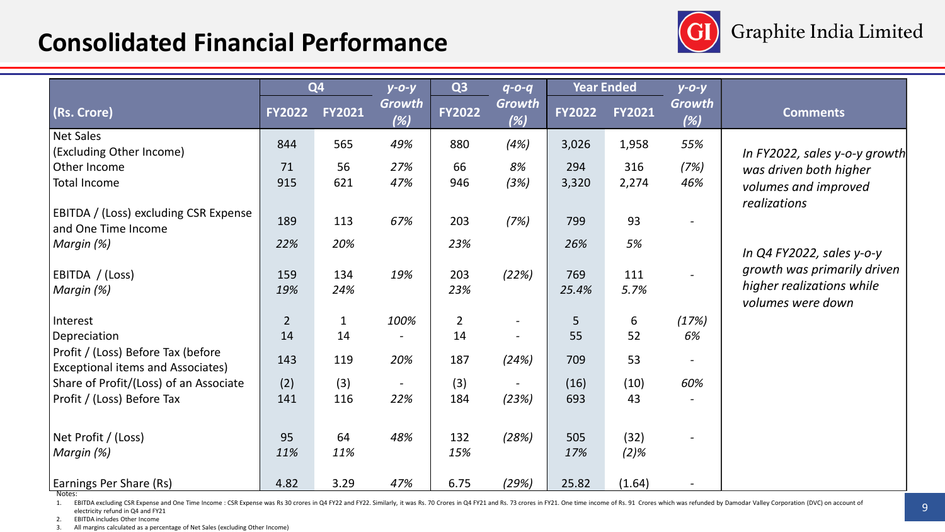## **Consolidated Financial Performance**



|                                                              |                | Q <sub>4</sub> | $y$ -0-y      | Q <sub>3</sub> | $q - 0 - q$   |               | <b>Year Ended</b> | $y - 0 - y$   |                                                |
|--------------------------------------------------------------|----------------|----------------|---------------|----------------|---------------|---------------|-------------------|---------------|------------------------------------------------|
| (Rs. Crore)                                                  | <b>FY2022</b>  | <b>FY2021</b>  | Growth<br>(%) | <b>FY2022</b>  | Growth<br>(%) | <b>FY2022</b> | <b>FY2021</b>     | Growth<br>(%) | <b>Comments</b>                                |
| <b>Net Sales</b>                                             | 844            | 565            | 49%           | 880            | (4%)          | 3,026         | 1,958             | 55%           |                                                |
| (Excluding Other Income)                                     |                |                |               |                |               |               |                   |               | In FY2022, sales y-o-y growth                  |
| Other Income                                                 | 71             | 56             | 27%           | 66             | 8%            | 294           | 316               | (7%)          | was driven both higher                         |
| <b>Total Income</b>                                          | 915            | 621            | 47%           | 946            | (3%)          | 3,320         | 2,274             | 46%           | volumes and improved                           |
|                                                              |                |                |               |                |               |               |                   |               | realizations                                   |
| EBITDA / (Loss) excluding CSR Expense<br>and One Time Income | 189            | 113            | 67%           | 203            | (7%)          | 799           | 93                |               |                                                |
| Margin (%)                                                   | 22%            | 20%            |               | 23%            |               | 26%           | 5%                |               |                                                |
|                                                              |                |                |               |                |               |               |                   |               | In $Q4$ FY2022, sales y-o-y                    |
| EBITDA / (Loss)                                              | 159            | 134            | 19%           | 203            | (22%)         | 769           | 111               |               | growth was primarily driven                    |
| Margin (%)                                                   | 19%            | 24%            |               | 23%            |               | 25.4%         | 5.7%              |               | higher realizations while<br>volumes were down |
| Interest                                                     | $\overline{2}$ | $\mathbf{1}$   | 100%          | $\overline{2}$ |               | 5             | 6                 | (17%)         |                                                |
| Depreciation                                                 | 14             | 14             |               | 14             |               | 55            | 52                | 6%            |                                                |
| Profit / (Loss) Before Tax (before                           | 143            | 119            | 20%           | 187            | (24%)         | 709           | 53                |               |                                                |
| <b>Exceptional items and Associates)</b>                     |                |                |               |                |               |               |                   |               |                                                |
| Share of Profit/(Loss) of an Associate                       | (2)            | (3)            |               | (3)            |               | (16)          | (10)              | 60%           |                                                |
| Profit / (Loss) Before Tax                                   | 141            | 116            | 22%           | 184            | (23%)         | 693           | 43                |               |                                                |
|                                                              |                |                |               |                |               |               |                   |               |                                                |
| Net Profit / (Loss)                                          | 95             | 64             | 48%           | 132            | (28%)         | 505           | (32)              |               |                                                |
| Margin (%)                                                   | 11%            | 11%            |               | 15%            |               | 17%           | $(2)$ %           |               |                                                |
|                                                              |                |                |               |                |               |               |                   |               |                                                |
| <b>Earnings Per Share (Rs)</b>                               | 4.82           | 3.29           | 47%           | 6.75           | (29%)         | 25.82         | (1.64)            |               |                                                |

Notes:

1. EBITDA excluding CSR Expense and One Time Income : CSR Expense was Rs 30 crores in Q4 FY22 and FY22. Similarly, it was Rs. 70 Crores in Q4 FY21 and Rs. 73 crores in FY21. One time income of Rs. 91 Crores which was refun electricity refund in Q4 and FY21

2. EBITDA includes Other Income<br>3. All margins calculated as a perc

All margins calculated as a percentage of Net Sales (excluding Other Income)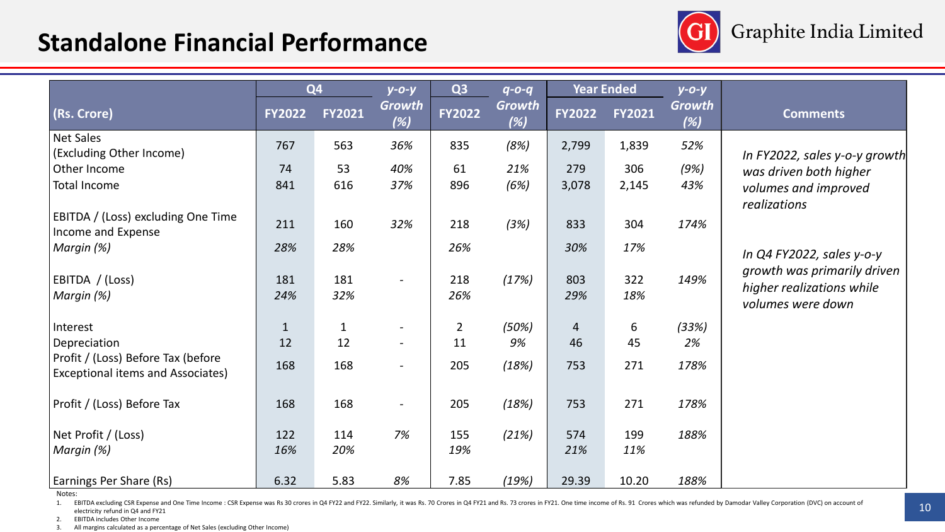## **Standalone Financial Performance**



|                                                                         |               | Q <sub>4</sub> | $y - 0 - y$              | Q <sub>3</sub> | $q - 0 - q$          |                | <b>Year Ended</b> | $y$ -0-y      |                                                |
|-------------------------------------------------------------------------|---------------|----------------|--------------------------|----------------|----------------------|----------------|-------------------|---------------|------------------------------------------------|
| (Rs. Crore)                                                             | <b>FY2022</b> | <b>FY2021</b>  | <b>Growth</b><br>(%)     | <b>FY2022</b>  | <b>Growth</b><br>(%) | <b>FY2022</b>  | <b>FY2021</b>     | Growth<br>(%) | <b>Comments</b>                                |
| <b>Net Sales</b>                                                        | 767           | 563            | 36%                      | 835            | (8%)                 | 2,799          | 1,839             | 52%           |                                                |
| (Excluding Other Income)                                                |               |                |                          |                |                      |                |                   |               | In FY2022, sales y-o-y growth                  |
| Other Income                                                            | 74            | 53             | 40%                      | 61             | 21%                  | 279            | 306               | (9%)          | was driven both higher                         |
| <b>Total Income</b>                                                     | 841           | 616            | 37%                      | 896            | (6%)                 | 3,078          | 2,145             | 43%           | volumes and improved<br>realizations           |
| EBITDA / (Loss) excluding One Time<br>Income and Expense                | 211           | 160            | 32%                      | 218            | (3%)                 | 833            | 304               | 174%          |                                                |
| Margin (%)                                                              | 28%           | 28%            |                          | 26%            |                      | 30%            | 17%               |               | In $QA$ FY2022, sales y-o-y                    |
| EBITDA / (Loss)                                                         | 181           | 181            |                          | 218            | (17%)                | 803            | 322               | 149%          | growth was primarily driven                    |
| Margin (%)                                                              | 24%           | 32%            |                          | 26%            |                      | 29%            | 18%               |               | higher realizations while<br>volumes were down |
| Interest                                                                | $\mathbf{1}$  | $\mathbf{1}$   | $\overline{\phantom{a}}$ | $\overline{2}$ | (50%)                | $\overline{4}$ | 6                 | (33%)         |                                                |
| Depreciation                                                            | 12            | 12             |                          | 11             | 9%                   | 46             | 45                | 2%            |                                                |
| Profit / (Loss) Before Tax (before<br>Exceptional items and Associates) | 168           | 168            | $\overline{\phantom{a}}$ | 205            | (18%)                | 753            | 271               | 178%          |                                                |
| Profit / (Loss) Before Tax                                              | 168           | 168            | $ \,$                    | 205            | (18%)                | 753            | 271               | 178%          |                                                |
| Net Profit / (Loss)                                                     | 122           | 114            | 7%                       | 155            | (21%)                | 574            | 199               | 188%          |                                                |
| Margin (%)                                                              | 16%           | 20%            |                          | 19%            |                      | 21%            | 11%               |               |                                                |
| <b>Earnings Per Share (Rs)</b>                                          | 6.32          | 5.83           | 8%                       | 7.85           | (19%)                | 29.39          | 10.20             | 188%          |                                                |

Notes:

1. EBITDA excluding CSR Expense and One Time Income : CSR Expense was Rs 30 crores in Q4 FY22 and FY22. Similarly, it was Rs. 70 Crores in Q4 FY21 and Rs. 73 crores in FY21. One time income of Rs. 91 Crores which was refun electricity refund in Q4 and FY21

2. EBITDA includes Other Income<br>3. All margins calculated as a perc

All margins calculated as a percentage of Net Sales (excluding Other Income)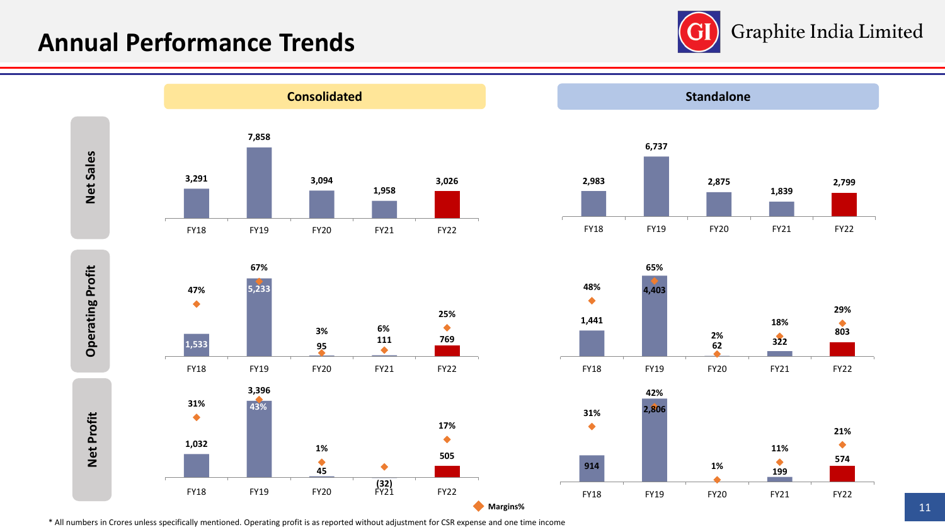### **Annual Performance Trends**













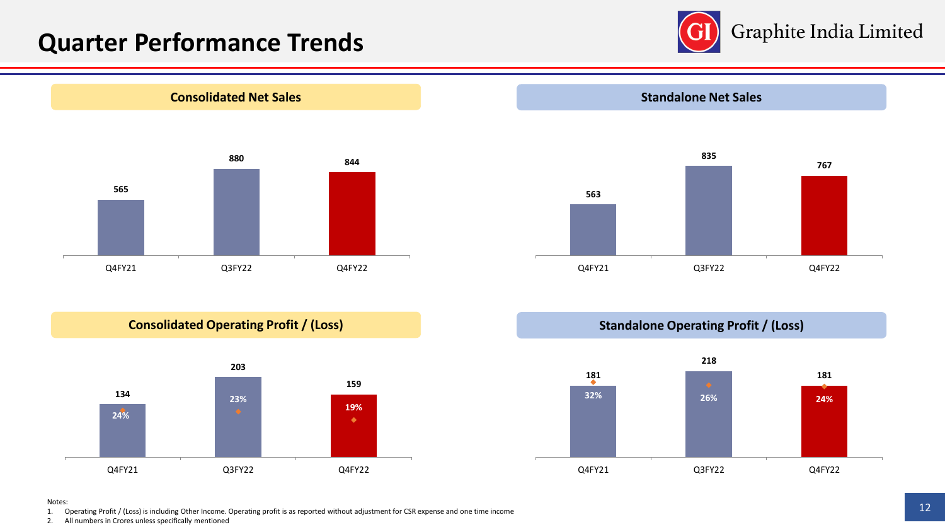## **Quarter Performance Trends**









#### Notes:

1. Operating Profit / (Loss) is including Other Income. Operating profit is as reported without adjustment for CSR expense and one time income

2. All numbers in Crores unless specifically mentioned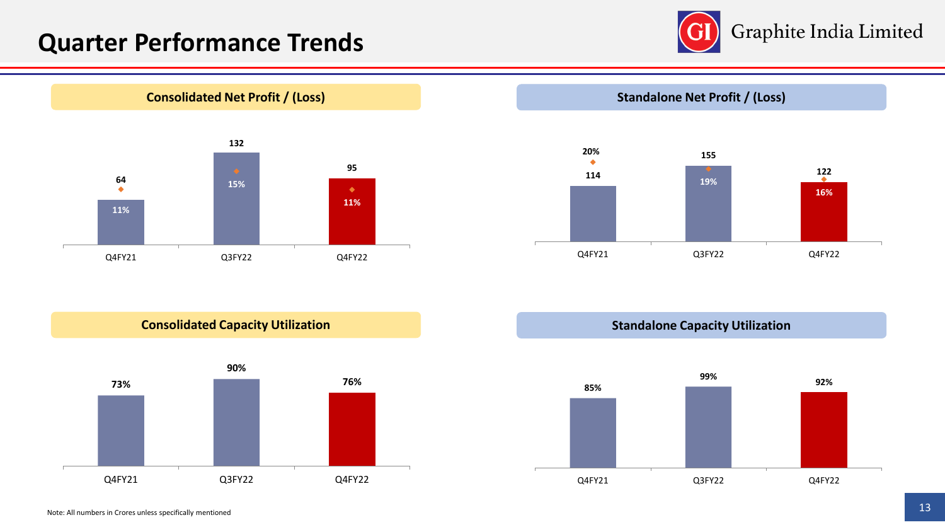## **Quarter Performance Trends**





**Standalone Net Profit / (Loss)**



**Consolidated Capacity Utilization**



**Standalone Capacity Utilization**

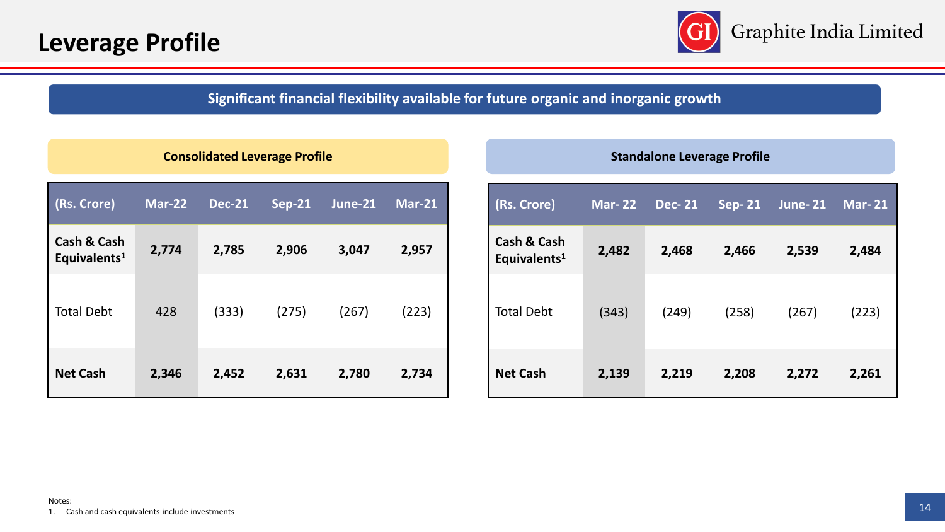

### **Significant financial flexibility available for future organic and inorganic growth**

|                                                    | <b>Consolidated Leverage Profile</b> |               |               |               |               | <b>Standalone Leverage Profile</b>                 |               |               |                          |                |               |
|----------------------------------------------------|--------------------------------------|---------------|---------------|---------------|---------------|----------------------------------------------------|---------------|---------------|--------------------------|----------------|---------------|
| (Rs. Crore)                                        | <b>Mar-22</b>                        | <b>Dec-21</b> | <b>Sep-21</b> | $J$ une- $21$ | <b>Mar-21</b> | (Rs. Crore)                                        | <b>Mar-22</b> | <b>Dec-21</b> | $\sqrt{\mathsf{Sep-21}}$ | <b>June-21</b> | <b>Mar-21</b> |
| <b>Cash &amp; Cash</b><br>Equivalents <sup>1</sup> | 2,774                                | 2,785         | 2,906         | 3,047         | 2,957         | <b>Cash &amp; Cash</b><br>Equivalents <sup>1</sup> | 2,482         | 2,468         | 2,466                    | 2,539          | 2,484         |
| <b>Total Debt</b>                                  | 428                                  | (333)         | (275)         | (267)         | (223)         | <b>Total Debt</b>                                  | (343)         | (249)         | (258)                    | (267)          | (223)         |
| <b>Net Cash</b>                                    | 2,346                                | 2,452         | 2,631         | 2,780         | 2,734         | <b>Net Cash</b>                                    | 2,139         | 2,219         | 2,208                    | 2,272          | 2,261         |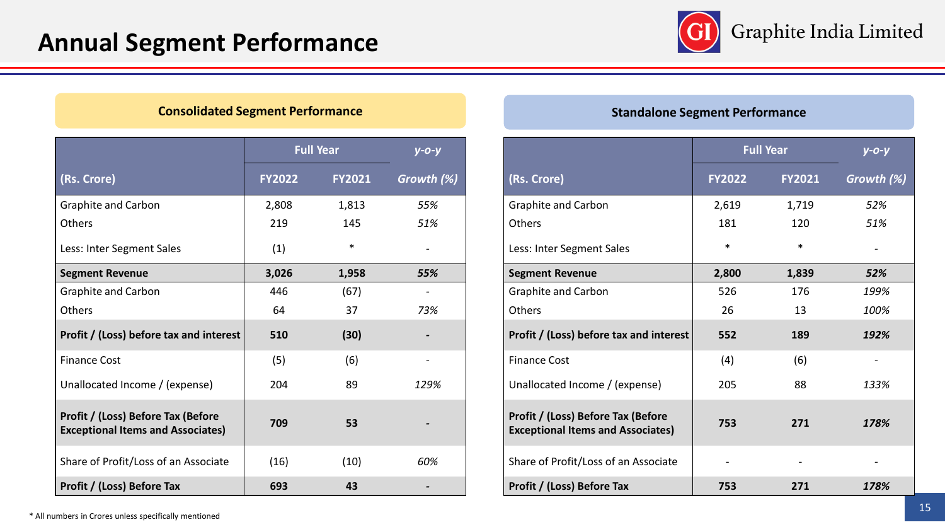

|                                                                                | <b>Full Year</b> | $y - 0 - y$   |            |
|--------------------------------------------------------------------------------|------------------|---------------|------------|
| (Rs. Crore)                                                                    | <b>FY2022</b>    | <b>FY2021</b> | Growth (%) |
| <b>Graphite and Carbon</b>                                                     | 2,808            | 1,813         | 55%        |
| Others                                                                         | 219              | 145           | 51%        |
| Less: Inter Segment Sales                                                      | (1)              | $\ast$        |            |
| <b>Segment Revenue</b>                                                         | 3,026            | 1,958         | 55%        |
| <b>Graphite and Carbon</b>                                                     | 446              | (67)          |            |
| Others                                                                         | 64               | 37            | 73%        |
| Profit / (Loss) before tax and interest                                        | 510              | (30)          |            |
| <b>Finance Cost</b>                                                            | (5)              | (6)           |            |
| Unallocated Income / (expense)                                                 | 204              | 89            | 129%       |
| Profit / (Loss) Before Tax (Before<br><b>Exceptional Items and Associates)</b> | 709              | 53            |            |
| Share of Profit/Loss of an Associate                                           | (16)             | (10)          | 60%        |
| Profit / (Loss) Before Tax                                                     | 693              | 43            |            |

#### **Consolidated Segment Performance Standalone Segment Performance Standalone Segment Performance**

|                                                                                | <b>Full Year</b> | $V - O - V$   |            |
|--------------------------------------------------------------------------------|------------------|---------------|------------|
| (Rs. Crore)                                                                    | <b>FY2022</b>    | <b>FY2021</b> | Growth (%) |
| <b>Graphite and Carbon</b>                                                     | 2,619            | 1,719         | 52%        |
| Others                                                                         | 181              | 120           | 51%        |
| Less: Inter Segment Sales                                                      | $\ast$           | $\ast$        |            |
| <b>Segment Revenue</b>                                                         | 2,800            | 1,839         | 52%        |
| <b>Graphite and Carbon</b>                                                     | 526              | 176           | 199%       |
| Others                                                                         | 26               | 13            | 100%       |
| Profit / (Loss) before tax and interest                                        | 552              | 189           | 192%       |
| <b>Finance Cost</b>                                                            | (4)              | (6)           |            |
| Unallocated Income / (expense)                                                 | 205              | 88            | 133%       |
| Profit / (Loss) Before Tax (Before<br><b>Exceptional Items and Associates)</b> | 753              | 271           | 178%       |
| Share of Profit/Loss of an Associate                                           |                  |               |            |
| Profit / (Loss) Before Tax                                                     | 753              | 271           | 178%       |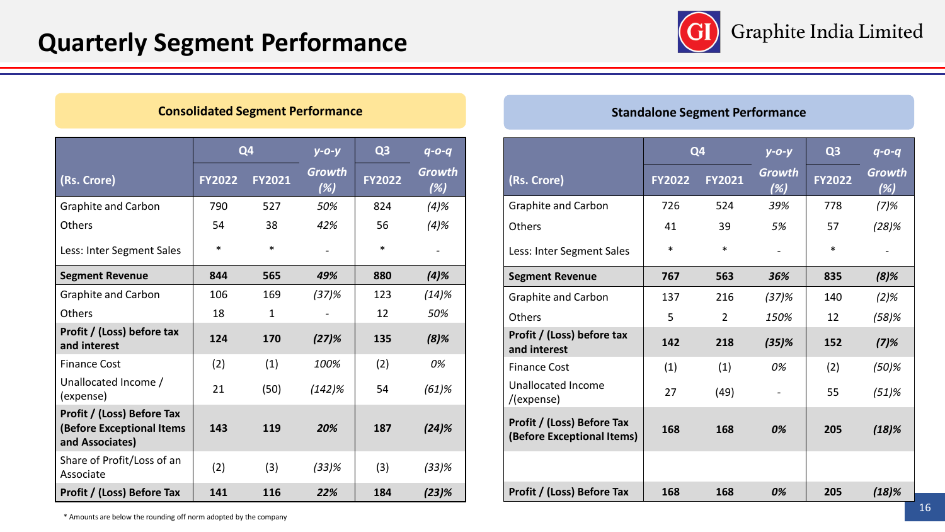

#### **Consolidated Segment Performance**

|                                                                                   | Q <sub>4</sub> |               | $y - 0 - y$          | Q <sub>3</sub> | $q - 0 - q$   |
|-----------------------------------------------------------------------------------|----------------|---------------|----------------------|----------------|---------------|
| (Rs. Crore)                                                                       | <b>FY2022</b>  | <b>FY2021</b> | <b>Growth</b><br>(%) | <b>FY2022</b>  | Growth<br>(%) |
| Graphite and Carbon                                                               | 790            | 527           | 50%                  | 824            | $(4)$ %       |
| Others                                                                            | 54             | 38            | 42%                  | 56             | $(4)$ %       |
| Less: Inter Segment Sales                                                         | *              | $\ast$        |                      | *              |               |
| <b>Segment Revenue</b>                                                            | 844            | 565           | 49%                  | 880            | (4)%          |
| <b>Graphite and Carbon</b>                                                        | 106            | 169           | $(37)$ %             | 123            | (14)%         |
| Others                                                                            | 18             | $\mathbf{1}$  |                      | 12             | 50%           |
| Profit / (Loss) before tax<br>and interest                                        | 124            | 170           | $(27)$ %             | 135            | $(8)$ %       |
| <b>Finance Cost</b>                                                               | (2)            | (1)           | 100%                 | (2)            | 0%            |
| Unallocated Income /<br>(expense)                                                 | 21             | (50)          | (142)%               | 54             | $(61)$ %      |
| Profit / (Loss) Before Tax<br><b>(Before Exceptional Items</b><br>and Associates) | 143            | 119           | 20%                  | 187            | (24)%         |
| Share of Profit/Loss of an<br>Associate                                           | (2)            | (3)           | $(33)\%$             | (3)            | (33)%         |
| Profit / (Loss) Before Tax                                                        | 141            | 116           | 22%                  | 184            | $(23)$ %      |

#### **Standalone Segment Performance**

|                                                          | Q <sub>4</sub> |                | $y - 0 - y$          | Q <sub>3</sub> | $q - 0 - q$                          |
|----------------------------------------------------------|----------------|----------------|----------------------|----------------|--------------------------------------|
| (Rs. Crore)                                              | <b>FY2022</b>  | <b>FY2021</b>  | <b>Growth</b><br>(%) | <b>FY2022</b>  | Growth<br>$(\overline{\mathscr{C}})$ |
| Graphite and Carbon                                      | 726            | 524            | 39%                  | 778            | (7)%                                 |
| Others                                                   | 41             | 39             | 5%                   | 57             | (28)%                                |
| Less: Inter Segment Sales                                | $\ast$         | *              |                      | $\ast$         |                                      |
| <b>Segment Revenue</b>                                   | 767            | 563            | 36%                  | 835            | $(8)$ %                              |
| <b>Graphite and Carbon</b>                               | 137            | 216            | (37)%                | 140            | $(2)$ %                              |
| <b>Others</b>                                            | 5              | $\overline{2}$ | 150%                 | 12             | $(58)$ %                             |
| Profit / (Loss) before tax<br>and interest               | 142            | 218            | $(35)$ %             | 152            | $(7)$ %                              |
| <b>Finance Cost</b>                                      | (1)            | (1)            | 0%                   | (2)            | $(50)\%$                             |
| <b>Unallocated Income</b><br>/(expense)                  | 27             | (49)           | $\blacksquare$       | 55             | (51)%                                |
| Profit / (Loss) Before Tax<br>(Before Exceptional Items) | 168            | 168            | 0%                   | 205            | (18)%                                |
|                                                          |                |                |                      |                |                                      |
| Profit / (Loss) Before Tax                               | 168            | 168            | 0%                   | 205            | $(18)$ %                             |

\* Amounts are below the rounding off norm adopted by the company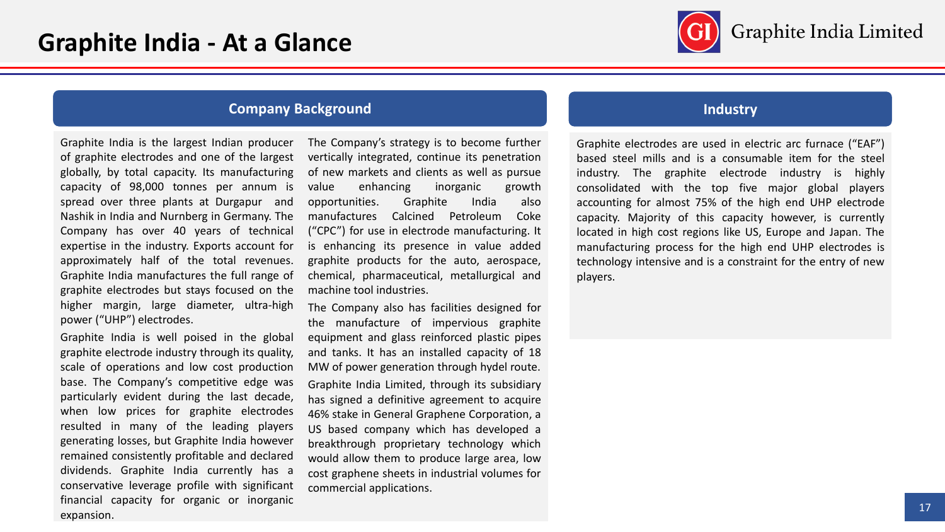

#### **Company Background Industry**

Graphite India is the largest Indian producer of graphite electrodes and one of the largest globally, by total capacity. Its manufacturing capacity of 98,000 tonnes per annum is spread over three plants at Durgapur and Nashik in India and Nurnberg in Germany. The Company has over 40 years of technical expertise in the industry. Exports account for approximately half of the total revenues. Graphite India manufactures the full range of graphite electrodes but stays focused on the higher margin, large diameter, ultra-high power ("UHP") electrodes.

Graphite India is well poised in the global graphite electrode industry through its quality, scale of operations and low cost production base. The Company's competitive edge was particularly evident during the last decade, when low prices for graphite electrodes resulted in many of the leading players generating losses, but Graphite India however remained consistently profitable and declared dividends. Graphite India currently has a conservative leverage profile with significant financial capacity for organic or inorganic expansion.

The Company's strategy is to become further vertically integrated, continue its penetration of new markets and clients as well as pursue value enhancing inorganic growth opportunities. Graphite India also manufactures Calcined Petroleum Coke ("CPC") for use in electrode manufacturing. It is enhancing its presence in value added graphite products for the auto, aerospace, chemical, pharmaceutical, metallurgical and machine tool industries.

The Company also has facilities designed for the manufacture of impervious graphite equipment and glass reinforced plastic pipes and tanks. It has an installed capacity of 18 MW of power generation through hydel route. Graphite India Limited, through its subsidiary has signed a definitive agreement to acquire 46% stake in General Graphene Corporation, a US based company which has developed a breakthrough proprietary technology which would allow them to produce large area, low cost graphene sheets in industrial volumes for commercial applications.

Graphite electrodes are used in electric arc furnace ("EAF") based steel mills and is a consumable item for the steel industry. The graphite electrode industry is highly consolidated with the top five major global players accounting for almost 75% of the high end UHP electrode capacity. Majority of this capacity however, is currently located in high cost regions like US, Europe and Japan. The manufacturing process for the high end UHP electrodes is technology intensive and is a constraint for the entry of new players.